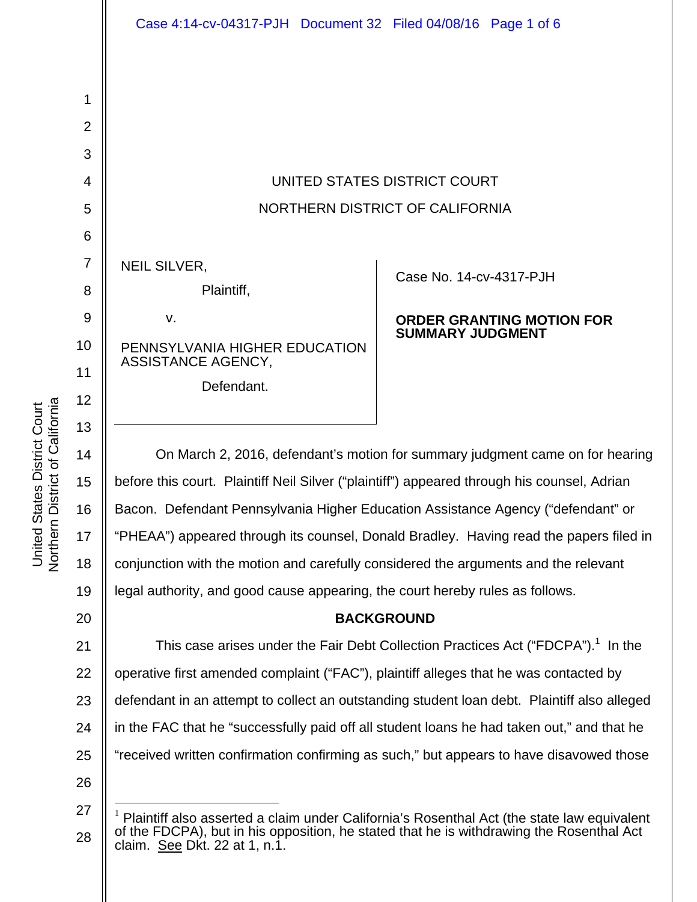

| <b>NEIL SILVER.</b> |            |
|---------------------|------------|
|                     | Plaintiff, |
| V.                  |            |

PENNSYLVANIA HIGHER EDUCATION ASSISTANCE AGENCY,

Defendant.

Case No. 14-cv-4317-PJH

# **ORDER GRANTING MOTION FOR SUMMARY JUDGMENT**

On March 2, 2016, defendant's motion for summary judgment came on for hearing before this court. Plaintiff Neil Silver ("plaintiff") appeared through his counsel, Adrian Bacon. Defendant Pennsylvania Higher Education Assistance Agency ("defendant" or "PHEAA") appeared through its counsel, Donald Bradley. Having read the papers filed in conjunction with the motion and carefully considered the arguments and the relevant legal authority, and good cause appearing, the court hereby rules as follows.

# **BACKGROUND**

21 22 23 24 25 This case arises under the Fair Debt Collection Practices Act ("FDCPA"). $1$  In the operative first amended complaint ("FAC"), plaintiff alleges that he was contacted by defendant in an attempt to collect an outstanding student loan debt. Plaintiff also alleged in the FAC that he "successfully paid off all student loans he had taken out," and that he "received written confirmation confirming as such," but appears to have disavowed those

26

 $\overline{a}$ 

1

2

3

4

5

6

7

8

9

10

11

12

13

14

15

16

17

18

19

<sup>27</sup>  28 1 Plaintiff also asserted a claim under California's Rosenthal Act (the state law equivalent of the FDCPA), but in his opposition, he stated that he is withdrawing the Rosenthal Act claim. See Dkt. 22 at 1, n.1.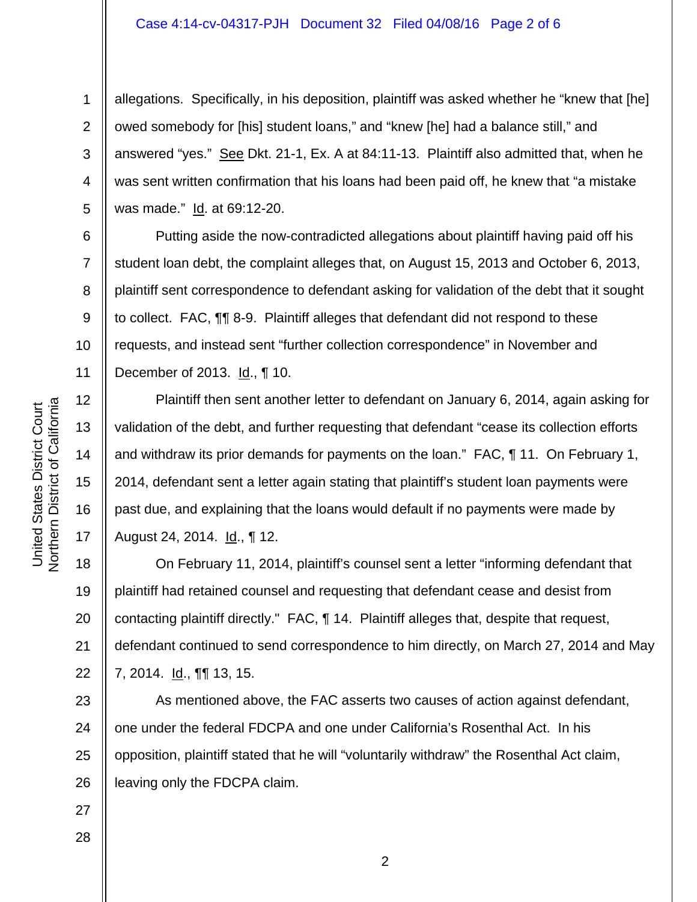### Case 4:14-cv-04317-PJH Document 32 Filed 04/08/16 Page 2 of 6

3 4 5 allegations. Specifically, in his deposition, plaintiff was asked whether he "knew that [he] owed somebody for [his] student loans," and "knew [he] had a balance still," and answered "yes." See Dkt. 21-1, Ex. A at 84:11-13. Plaintiff also admitted that, when he was sent written confirmation that his loans had been paid off, he knew that "a mistake was made." Id. at 69:12-20.

Putting aside the now-contradicted allegations about plaintiff having paid off his student loan debt, the complaint alleges that, on August 15, 2013 and October 6, 2013, plaintiff sent correspondence to defendant asking for validation of the debt that it sought to collect. FAC, ¶¶ 8-9. Plaintiff alleges that defendant did not respond to these requests, and instead sent "further collection correspondence" in November and December of 2013. Id., ¶ 10.

Plaintiff then sent another letter to defendant on January 6, 2014, again asking for validation of the debt, and further requesting that defendant "cease its collection efforts and withdraw its prior demands for payments on the loan." FAC, ¶ 11. On February 1, 2014, defendant sent a letter again stating that plaintiff's student loan payments were past due, and explaining that the loans would default if no payments were made by August 24, 2014. <u>Id.,</u> 12.

18 19 20 21 22 On February 11, 2014, plaintiff's counsel sent a letter "informing defendant that plaintiff had retained counsel and requesting that defendant cease and desist from contacting plaintiff directly." FAC, ¶ 14. Plaintiff alleges that, despite that request, defendant continued to send correspondence to him directly, on March 27, 2014 and May 7, 2014. <u>Id.,</u> **¶** 13, 15.

23 24 25 26 As mentioned above, the FAC asserts two causes of action against defendant, one under the federal FDCPA and one under California's Rosenthal Act. In his opposition, plaintiff stated that he will "voluntarily withdraw" the Rosenthal Act claim, leaving only the FDCPA claim.

27

28

1

2

6

7

8

9

10

11

12

13

14

15

16

17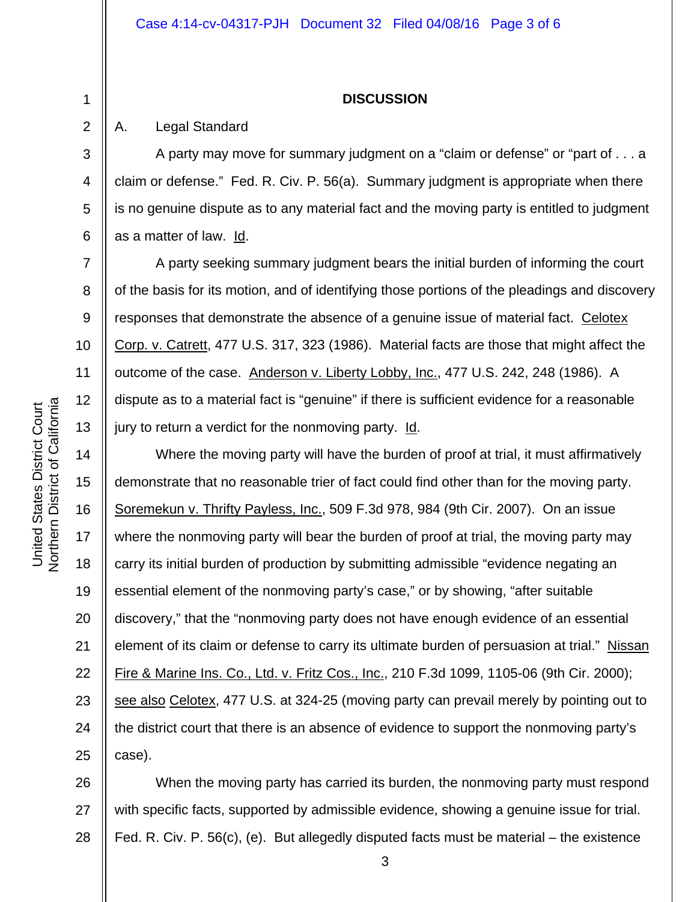#### **DISCUSSION**

### A. Legal Standard

1

2

3

4

5

6

7

8

9

10

11

12

13

A party may move for summary judgment on a "claim or defense" or "part of . . . a claim or defense." Fed. R. Civ. P. 56(a). Summary judgment is appropriate when there is no genuine dispute as to any material fact and the moving party is entitled to judgment as a matter of law. Id.

 A party seeking summary judgment bears the initial burden of informing the court of the basis for its motion, and of identifying those portions of the pleadings and discovery responses that demonstrate the absence of a genuine issue of material fact. Celotex Corp. v. Catrett, 477 U.S. 317, 323 (1986). Material facts are those that might affect the outcome of the case. Anderson v. Liberty Lobby, Inc., 477 U.S. 242, 248 (1986). A dispute as to a material fact is "genuine" if there is sufficient evidence for a reasonable jury to return a verdict for the nonmoving party. Id.

14 15 16 17 18 19 20 21 22 23 24 25 Where the moving party will have the burden of proof at trial, it must affirmatively demonstrate that no reasonable trier of fact could find other than for the moving party. Soremekun v. Thrifty Payless, Inc., 509 F.3d 978, 984 (9th Cir. 2007). On an issue where the nonmoving party will bear the burden of proof at trial, the moving party may carry its initial burden of production by submitting admissible "evidence negating an essential element of the nonmoving party's case," or by showing, "after suitable discovery," that the "nonmoving party does not have enough evidence of an essential element of its claim or defense to carry its ultimate burden of persuasion at trial." Nissan Fire & Marine Ins. Co., Ltd. v. Fritz Cos., Inc., 210 F.3d 1099, 1105-06 (9th Cir. 2000); see also Celotex, 477 U.S. at 324-25 (moving party can prevail merely by pointing out to the district court that there is an absence of evidence to support the nonmoving party's case).

26 27 28 When the moving party has carried its burden, the nonmoving party must respond with specific facts, supported by admissible evidence, showing a genuine issue for trial. Fed. R. Civ. P. 56(c), (e). But allegedly disputed facts must be material – the existence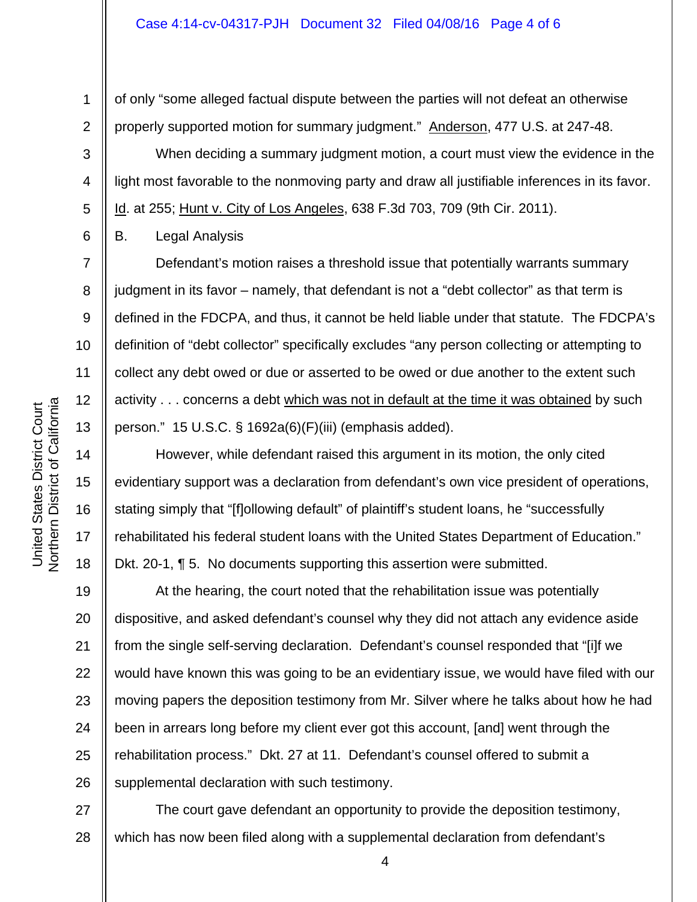of only "some alleged factual dispute between the parties will not defeat an otherwise properly supported motion for summary judgment." Anderson, 477 U.S. at 247-48.

 When deciding a summary judgment motion, a court must view the evidence in the light most favorable to the nonmoving party and draw all justifiable inferences in its favor. Id. at 255; Hunt v. City of Los Angeles, 638 F.3d 703, 709 (9th Cir. 2011).

B. Legal Analysis

1

2

3

4

5

6

7

8

9

10

11

12

13

14

15

16

17

18

 Defendant's motion raises a threshold issue that potentially warrants summary judgment in its favor – namely, that defendant is not a "debt collector" as that term is defined in the FDCPA, and thus, it cannot be held liable under that statute. The FDCPA's definition of "debt collector" specifically excludes "any person collecting or attempting to collect any debt owed or due or asserted to be owed or due another to the extent such activity . . . concerns a debt which was not in default at the time it was obtained by such person." 15 U.S.C. § 1692a(6)(F)(iii) (emphasis added).

 However, while defendant raised this argument in its motion, the only cited evidentiary support was a declaration from defendant's own vice president of operations, stating simply that "[f]ollowing default" of plaintiff's student loans, he "successfully rehabilitated his federal student loans with the United States Department of Education." Dkt. 20-1, ¶ 5. No documents supporting this assertion were submitted.

19 20 21 22 23 24 25 26 At the hearing, the court noted that the rehabilitation issue was potentially dispositive, and asked defendant's counsel why they did not attach any evidence aside from the single self-serving declaration. Defendant's counsel responded that "[i]f we would have known this was going to be an evidentiary issue, we would have filed with our moving papers the deposition testimony from Mr. Silver where he talks about how he had been in arrears long before my client ever got this account, [and] went through the rehabilitation process." Dkt. 27 at 11. Defendant's counsel offered to submit a supplemental declaration with such testimony.

27 28 The court gave defendant an opportunity to provide the deposition testimony, which has now been filed along with a supplemental declaration from defendant's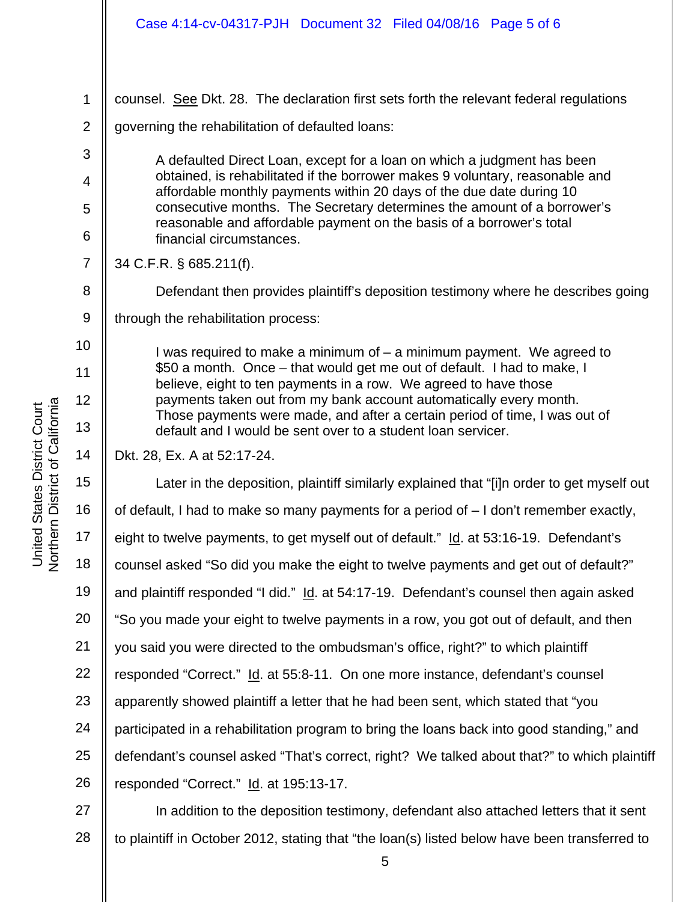| Case 4:14-cv-04317-PJH  Document 32  Filed 04/08/16  Page 5 of 6                                                                                                                                                                                                                                                                                                                                                                           |
|--------------------------------------------------------------------------------------------------------------------------------------------------------------------------------------------------------------------------------------------------------------------------------------------------------------------------------------------------------------------------------------------------------------------------------------------|
|                                                                                                                                                                                                                                                                                                                                                                                                                                            |
| counsel. See Dkt. 28. The declaration first sets forth the relevant federal regulations                                                                                                                                                                                                                                                                                                                                                    |
| governing the rehabilitation of defaulted loans:                                                                                                                                                                                                                                                                                                                                                                                           |
| A defaulted Direct Loan, except for a loan on which a judgment has been<br>obtained, is rehabilitated if the borrower makes 9 voluntary, reasonable and<br>affordable monthly payments within 20 days of the due date during 10<br>consecutive months. The Secretary determines the amount of a borrower's<br>reasonable and affordable payment on the basis of a borrower's total<br>financial circumstances.                             |
| 34 C.F.R. § 685.211(f).                                                                                                                                                                                                                                                                                                                                                                                                                    |
| Defendant then provides plaintiff's deposition testimony where he describes going                                                                                                                                                                                                                                                                                                                                                          |
| through the rehabilitation process:                                                                                                                                                                                                                                                                                                                                                                                                        |
| I was required to make a minimum of $-$ a minimum payment. We agreed to<br>\$50 a month. Once – that would get me out of default. I had to make, I<br>believe, eight to ten payments in a row. We agreed to have those<br>payments taken out from my bank account automatically every month.<br>Those payments were made, and after a certain period of time, I was out of<br>default and I would be sent over to a student loan servicer. |
| Dkt. 28, Ex. A at 52:17-24.                                                                                                                                                                                                                                                                                                                                                                                                                |
| Later in the deposition, plaintiff similarly explained that "[i]n order to get myself out                                                                                                                                                                                                                                                                                                                                                  |
| of default, I had to make so many payments for a period of - I don't remember exactly,                                                                                                                                                                                                                                                                                                                                                     |
| eight to twelve payments, to get myself out of default." Id. at 53:16-19. Defendant's                                                                                                                                                                                                                                                                                                                                                      |
| counsel asked "So did you make the eight to twelve payments and get out of default?"                                                                                                                                                                                                                                                                                                                                                       |

19 and plaintiff responded "I did." Id. at 54:17-19. Defendant's counsel then again asked

20 "So you made your eight to twelve payments in a row, you got out of default, and then

21 you said you were directed to the ombudsman's office, right?" to which plaintiff

22 responded "Correct." Id. at 55:8-11. On one more instance, defendant's counsel

23 apparently showed plaintiff a letter that he had been sent, which stated that "you

24 participated in a rehabilitation program to bring the loans back into good standing," and

25 defendant's counsel asked "That's correct, right? We talked about that?" to which plaintiff

26 responded "Correct." Id. at 195:13-17.

27 28 In addition to the deposition testimony, defendant also attached letters that it sent to plaintiff in October 2012, stating that "the loan(s) listed below have been transferred to

1

2

3

4

5

6

7

8

9

10

11

12

13

14

15

16

17